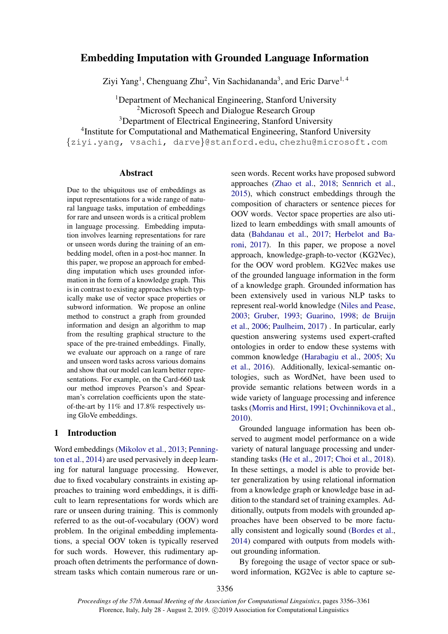# Embedding Imputation with Grounded Language Information

Ziyi Yang<sup>1</sup>, Chenguang Zhu<sup>2</sup>, Vin Sachidananda<sup>3</sup>, and Eric Darve<sup>1, 4</sup>

<sup>1</sup>Department of Mechanical Engineering, Stanford University <sup>2</sup>Microsoft Speech and Dialogue Research Group

<sup>3</sup>Department of Electrical Engineering, Stanford University

4 Institute for Computational and Mathematical Engineering, Stanford University

{ziyi.yang, vsachi, darve}@stanford.edu, chezhu@microsoft.com

## Abstract

Due to the ubiquitous use of embeddings as input representations for a wide range of natural language tasks, imputation of embeddings for rare and unseen words is a critical problem in language processing. Embedding imputation involves learning representations for rare or unseen words during the training of an embedding model, often in a post-hoc manner. In this paper, we propose an approach for embedding imputation which uses grounded information in the form of a knowledge graph. This is in contrast to existing approaches which typically make use of vector space properties or subword information. We propose an online method to construct a graph from grounded information and design an algorithm to map from the resulting graphical structure to the space of the pre-trained embeddings. Finally, we evaluate our approach on a range of rare and unseen word tasks across various domains and show that our model can learn better representations. For example, on the Card-660 task our method improves Pearson's and Spearman's correlation coefficients upon the stateof-the-art by 11% and 17.8% respectively using GloVe embeddings.

## 1 Introduction

Word embeddings [\(Mikolov et al.,](#page-4-0) [2013;](#page-4-0) [Penning](#page-5-0)[ton et al.,](#page-5-0) [2014\)](#page-5-0) are used pervasively in deep learning for natural language processing. However, due to fixed vocabulary constraints in existing approaches to training word embeddings, it is difficult to learn representations for words which are rare or unseen during training. This is commonly referred to as the out-of-vocabulary (OOV) word problem. In the original embedding implementations, a special OOV token is typically reserved for such words. However, this rudimentary approach often detriments the performance of downstream tasks which contain numerous rare or unseen words. Recent works have proposed subword approaches [\(Zhao et al.,](#page-5-1) [2018;](#page-5-1) [Sennrich et al.,](#page-5-2) [2015\)](#page-5-2), which construct embeddings through the composition of characters or sentence pieces for OOV words. Vector space properties are also utilized to learn embeddings with small amounts of data [\(Bahdanau et al.,](#page-4-1) [2017;](#page-4-1) [Herbelot and Ba](#page-4-2)[roni,](#page-4-2) [2017\)](#page-4-2). In this paper, we propose a novel approach, knowledge-graph-to-vector (KG2Vec), for the OOV word problem. KG2Vec makes use of the grounded language information in the form of a knowledge graph. Grounded information has been extensively used in various NLP tasks to represent real-world knowledge [\(Niles and Pease,](#page-4-3) [2003;](#page-4-3) [Gruber,](#page-4-4) [1993;](#page-4-4) [Guarino,](#page-4-5) [1998;](#page-4-5) [de Bruijn](#page-4-6) [et al.,](#page-4-6) [2006;](#page-4-6) [Paulheim,](#page-5-3) [2017\)](#page-5-3) . In particular, early question answering systems used expert-crafted ontologies in order to endow these systems with common knowledge [\(Harabagiu et al.,](#page-4-7) [2005;](#page-4-7) [Xu](#page-5-4) [et al.,](#page-5-4) [2016\)](#page-5-4). Additionally, lexical-semantic ontologies, such as WordNet, have been used to provide semantic relations between words in a wide variety of language processing and inference tasks [\(Morris and Hirst,](#page-4-8) [1991;](#page-4-8) [Ovchinnikova et al.,](#page-5-5) [2010\)](#page-5-5).

Grounded language information has been observed to augment model performance on a wide variety of natural language processing and understanding tasks [\(He et al.,](#page-4-9) [2017;](#page-4-9) [Choi et al.,](#page-4-10) [2018\)](#page-4-10). In these settings, a model is able to provide better generalization by using relational information from a knowledge graph or knowledge base in addition to the standard set of training examples. Additionally, outputs from models with grounded approaches have been observed to be more factually consistent and logically sound [\(Bordes et al.,](#page-4-11) [2014\)](#page-4-11) compared with outputs from models without grounding information.

By foregoing the usage of vector space or subword information, KG2Vec is able to capture se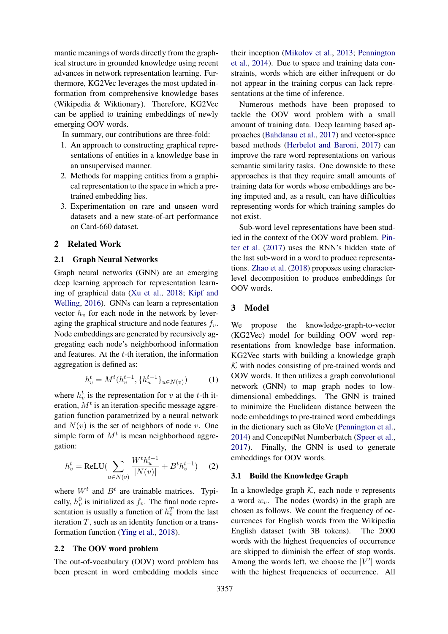mantic meanings of words directly from the graphical structure in grounded knowledge using recent advances in network representation learning. Furthermore, KG2Vec leverages the most updated information from comprehensive knowledge bases (Wikipedia & Wiktionary). Therefore, KG2Vec can be applied to training embeddings of newly emerging OOV words.

In summary, our contributions are three-fold:

- 1. An approach to constructing graphical representations of entities in a knowledge base in an unsupervised manner.
- 2. Methods for mapping entities from a graphical representation to the space in which a pretrained embedding lies.
- 3. Experimentation on rare and unseen word datasets and a new state-of-art performance on Card-660 dataset.

## 2 Related Work

## 2.1 Graph Neural Networks

Graph neural networks (GNN) are an emerging deep learning approach for representation learning of graphical data [\(Xu et al.,](#page-5-6) [2018;](#page-5-6) [Kipf and](#page-4-12) [Welling,](#page-4-12) [2016\)](#page-4-12). GNNs can learn a representation vector  $h<sub>v</sub>$  for each node in the network by leveraging the graphical structure and node features  $f_v$ . Node embeddings are generated by recursively aggregating each node's neighborhood information and features. At the  $t$ -th iteration, the information aggregation is defined as:

$$
h_v^t = M^t(h_v^{t-1}, \{h_u^{t-1}\}_{u \in N(v)}) \tag{1}
$$

where  $h_v^t$  is the representation for v at the t-th iteration,  $M<sup>t</sup>$  is an iteration-specific message aggregation function parametrized by a neural network and  $N(v)$  is the set of neighbors of node v. One simple form of  $M<sup>t</sup>$  is mean neighborhood aggregation:

$$
h_v^t = \text{ReLU}(\sum_{u \in N(v)} \frac{W^t h_u^{t-1}}{|N(v)|} + B^t h_v^{t-1}) \quad (2)
$$

where  $W^t$  and  $B^t$  are trainable matrices. Typically,  $h_v^0$  is initialized as  $f_v$ . The final node representation is usually a function of  $h_v^T$  from the last iteration  $T$ , such as an identity function or a transformation function [\(Ying et al.,](#page-5-7) [2018\)](#page-5-7).

## 2.2 The OOV word problem

The out-of-vocabulary (OOV) word problem has been present in word embedding models since their inception [\(Mikolov et al.,](#page-4-0) [2013;](#page-4-0) [Pennington](#page-5-0) [et al.,](#page-5-0) [2014\)](#page-5-0). Due to space and training data constraints, words which are either infrequent or do not appear in the training corpus can lack representations at the time of inference.

Numerous methods have been proposed to tackle the OOV word problem with a small amount of training data. Deep learning based approaches [\(Bahdanau et al.,](#page-4-1) [2017\)](#page-4-1) and vector-space based methods [\(Herbelot and Baroni,](#page-4-2) [2017\)](#page-4-2) can improve the rare word representations on various semantic similarity tasks. One downside to these approaches is that they require small amounts of training data for words whose embeddings are being imputed and, as a result, can have difficulties representing words for which training samples do not exist.

Sub-word level representations have been studied in the context of the OOV word problem. [Pin](#page-5-8)[ter et al.](#page-5-8) [\(2017\)](#page-5-8) uses the RNN's hidden state of the last sub-word in a word to produce representations. [Zhao et al.](#page-5-1) [\(2018\)](#page-5-1) proposes using characterlevel decomposition to produce embeddings for OOV words.

#### 3 Model

We propose the knowledge-graph-to-vector (KG2Vec) model for building OOV word representations from knowledge base information. KG2Vec starts with building a knowledge graph  $K$  with nodes consisting of pre-trained words and OOV words. It then utilizes a graph convolutional network (GNN) to map graph nodes to lowdimensional embeddings. The GNN is trained to minimize the Euclidean distance between the node embeddings to pre-trained word embeddings in the dictionary such as GloVe [\(Pennington et al.,](#page-5-0) [2014\)](#page-5-0) and ConceptNet Numberbatch [\(Speer et al.,](#page-5-9) [2017\)](#page-5-9). Finally, the GNN is used to generate embeddings for OOV words.

#### 3.1 Build the Knowledge Graph

In a knowledge graph  $K$ , each node v represents a word  $w_v$ . The nodes (words) in the graph are chosen as follows. We count the frequency of occurrences for English words from the Wikipedia English dataset (with 3B tokens). The 2000 words with the highest frequencies of occurrence are skipped to diminish the effect of stop words. Among the words left, we choose the  $|V'|$  words with the highest frequencies of occurrence. All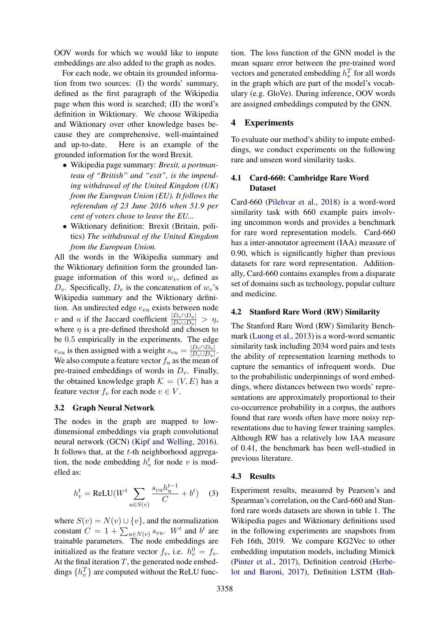OOV words for which we would like to impute embeddings are also added to the graph as nodes.

For each node, we obtain its grounded information from two sources: (I) the words' summary, defined as the first paragraph of the Wikipedia page when this word is searched; (II) the word's definition in Wiktionary. We choose Wikipedia and Wiktionary over other knowledge bases because they are comprehensive, well-maintained and up-to-date. Here is an example of the grounded information for the word Brexit.

- Wikipedia page summary: *Brexit, a portmanteau of "British" and "exit", is the impending withdrawal of the United Kingdom (UK) from the European Union (EU). It follows the referendum of 23 June 2016 when 51.9 per cent of voters chose to leave the EU...*
- Wiktionary definition: Brexit (Britain, politics) *The withdrawal of the United Kingdom from the European Union.*

All the words in the Wikipedia summary and the Wiktionary definition form the grounded language information of this word  $w<sub>v</sub>$ , defined as  $D_v$ . Specifically,  $D_v$  is the concatenation of  $w_v$ 's Wikipedia summary and the Wiktionary definition. An undirected edge  $e_{vu}$  exists between node v and u if the Jaccard coefficient  $\frac{|D_v \cap D_u|}{|D_v \cup D_u|} > \eta$ , where  $\eta$  is a pre-defined threshold and chosen to be 0.5 empirically in the experiments. The edge  $e_{vu}$  is then assigned with a weight  $s_{vu} = \frac{|D_v \cap D_u|}{|D_v \cup |D_u|}$  $|D_v \cup D_u|$ . We also compute a feature vector  $f_u$  as the mean of pre-trained embeddings of words in  $D<sub>v</sub>$ . Finally, the obtained knowledge graph  $\mathcal{K} = (V, E)$  has a feature vector  $f_v$  for each node  $v \in V$ .

#### 3.2 Graph Neural Network

The nodes in the graph are mapped to lowdimensional embeddings via graph convolutional neural network (GCN) [\(Kipf and Welling,](#page-4-12) [2016\)](#page-4-12). It follows that, at the  $t$ -th neighborhood aggregation, the node embedding  $h_v^t$  for node v is modelled as:

$$
h_v^t = \text{ReLU}(W^t \sum_{u \in S(v)} \frac{s_{vu} h_u^{t-1}}{C} + b^t) \quad (3)
$$

where  $S(v) = N(v) \cup \{v\}$ , and the normalization constant  $C = 1 + \sum_{u \in N(v)} s_{vu}$ .  $W^t$  and  $b^t$  are trainable parameters. The node embeddings are initialized as the feature vector  $f_v$ , i.e.  $h_v^0 = f_v$ . At the final iteration  $T$ , the generated node embeddings  $\{h_v^T\}$  are computed without the ReLU function. The loss function of the GNN model is the mean square error between the pre-trained word vectors and generated embedding  $h_v^T$  for all words in the graph which are part of the model's vocabulary (e.g. GloVe). During inference, OOV words are assigned embeddings computed by the GNN.

## 4 Experiments

To evaluate our method's ability to impute embeddings, we conduct experiments on the following rare and unseen word similarity tasks.

## 4.1 Card-660: Cambridge Rare Word Dataset

Card-660 [\(Pilehvar et al.,](#page-5-10) [2018\)](#page-5-10) is a word-word similarity task with 660 example pairs involving uncommon words and provides a benchmark for rare word representation models. Card-660 has a inter-annotator agreement (IAA) measure of 0.90, which is significantly higher than previous datasets for rare word representation. Additionally, Card-660 contains examples from a disparate set of domains such as technology, popular culture and medicine.

## 4.2 Stanford Rare Word (RW) Similarity

The Stanford Rare Word (RW) Similarity Benchmark [\(Luong et al.,](#page-4-13) [2013\)](#page-4-13) is a word-word semantic similarity task including 2034 word pairs and tests the ability of representation learning methods to capture the semantics of infrequent words. Due to the probabilistic underpinnings of word embeddings, where distances between two words' representations are approximately proportional to their co-occurrence probability in a corpus, the authors found that rare words often have more noisy representations due to having fewer training samples. Although RW has a relatively low IAA measure of 0.41, the benchmark has been well-studied in previous literature.

#### 4.3 Results

Experiment results, measured by Pearson's and Spearman's correlation, on the Card-660 and Stanford rare words datasets are shown in table [1.](#page-3-0) The Wikipedia pages and Wiktionary definitions used in the following experiments are snapshots from Feb 16th, 2019. We compare KG2Vec to other embedding imputation models, including Mimick [\(Pinter et al.,](#page-5-8) [2017\)](#page-5-8), Definition centroid [\(Herbe](#page-4-2)[lot and Baroni,](#page-4-2) [2017\)](#page-4-2), Definition LSTM [\(Bah-](#page-4-1)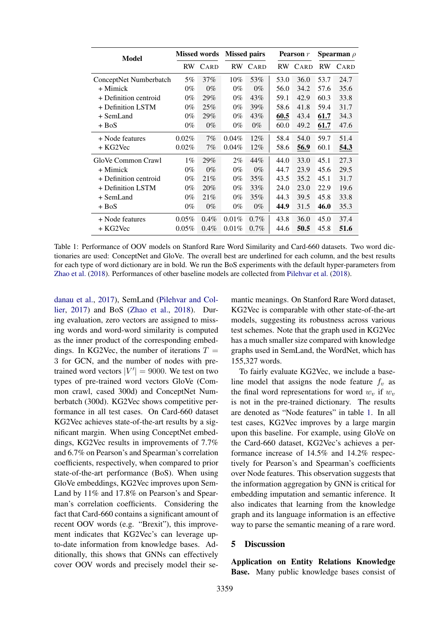<span id="page-3-0"></span>

| <b>Model</b>           | <b>Missed words</b> |         | <b>Missed pairs</b> |         | <b>Pearson</b> r |         | Spearman $\rho$ |      |
|------------------------|---------------------|---------|---------------------|---------|------------------|---------|-----------------|------|
|                        |                     | RW CARD |                     | RW CARD |                  | RW CARD | <b>RW</b>       | CARD |
| ConceptNet Numberbatch | 5%                  | 37%     | $10\%$              | 53%     | 53.0             | 36.0    | 53.7            | 24.7 |
| + Mimick               | $0\%$               | $0\%$   | $0\%$               | $0\%$   | 56.0             | 34.2    | 57.6            | 35.6 |
| + Definition centroid  | $0\%$               | 29%     | $0\%$               | 43%     | 59.1             | 42.9    | 60.3            | 33.8 |
| + Definition LSTM      | $0\%$               | 25%     | $0\%$               | 39%     | 58.6             | 41.8    | 59.4            | 31.7 |
| + SemLand              | $0\%$               | 29%     | $0\%$               | 43%     | 60.5             | 43.4    | 61.7            | 34.3 |
| + BoS                  | $0\%$               | $0\%$   | $0\%$               | $0\%$   | 60.0             | 49.2    | 61.7            | 47.6 |
| + Node features        | 0.02%               | 7%      | $0.04\%$            | 12%     | 58.4             | 54.0    | 59.7            | 51.4 |
| + KG2Vec               | 0.02%               | 7%      | $0.04\%$            | 12%     | 58.6             | 56.9    | 60.1            | 54.3 |
| GloVe Common Crawl     | $1\%$               | 29%     | $2\%$               | 44%     | 44.0             | 33.0    | 45.1            | 27.3 |
| + Mimick               | $0\%$               | $0\%$   | $0\%$               | $0\%$   | 44.7             | 23.9    | 45.6            | 29.5 |
| + Definition centroid  | $0\%$               | 21%     | $0\%$               | 35%     | 43.5             | 35.2    | 45.1            | 31.7 |
| + Definition LSTM      | $0\%$               | 20%     | $0\%$               | 33%     | 24.0             | 23.0    | 22.9            | 19.6 |
| + SemLand              | $0\%$               | 21%     | $0\%$               | 35%     | 44.3             | 39.5    | 45.8            | 33.8 |
| + BoS                  | $0\%$               | $0\%$   | $0\%$               | $0\%$   | 44.9             | 31.5    | 46.0            | 35.3 |
| + Node features        | 0.05%               | $0.4\%$ | 0.01%               | $0.7\%$ | 43.8             | 36.0    | 45.0            | 37.4 |
| + KG2Vec               | $0.05\%$            | $0.4\%$ | 0.01%               | $0.7\%$ | 44.6             | 50.5    | 45.8            | 51.6 |

Table 1: Performance of OOV models on Stanford Rare Word Similarity and Card-660 datasets. Two word dictionaries are used: ConceptNet and GloVe. The overall best are underlined for each column, and the best results for each type of word dictionary are in bold. We run the BoS experiments with the default hyper-parameters from [Zhao et al.](#page-5-1) [\(2018\)](#page-5-1). Performances of other baseline models are collected from [Pilehvar et al.](#page-5-10) [\(2018\)](#page-5-10).

[danau et al.,](#page-4-1) [2017\)](#page-4-1), SemLand [\(Pilehvar and Col](#page-5-11)[lier,](#page-5-11) [2017\)](#page-5-11) and BoS [\(Zhao et al.,](#page-5-1) [2018\)](#page-5-1). During evaluation, zero vectors are assigned to missing words and word-word similarity is computed as the inner product of the corresponding embeddings. In KG2Vec, the number of iterations  $T =$ 3 for GCN, and the number of nodes with pretrained word vectors  $|V'| = 9000$ . We test on two types of pre-trained word vectors GloVe (Common crawl, cased 300d) and ConceptNet Numberbatch (300d). KG2Vec shows competitive performance in all test cases. On Card-660 dataset KG2Vec achieves state-of-the-art results by a significant margin. When using ConceptNet embeddings, KG2Vec results in improvements of 7.7% and 6.7% on Pearson's and Spearman's correlation coefficients, respectively, when compared to prior state-of-the-art performance (BoS). When using GloVe embeddings, KG2Vec improves upon Sem-Land by 11% and 17.8% on Pearson's and Spearman's correlation coefficients. Considering the fact that Card-660 contains a significant amount of recent OOV words (e.g. "Brexit"), this improvement indicates that KG2Vec's can leverage upto-date information from knowledge bases. Additionally, this shows that GNNs can effectively cover OOV words and precisely model their se-

mantic meanings. On Stanford Rare Word dataset, KG2Vec is comparable with other state-of-the-art models, suggesting its robustness across various test schemes. Note that the graph used in KG2Vec has a much smaller size compared with knowledge graphs used in SemLand, the WordNet, which has 155,327 words.

To fairly evaluate KG2Vec, we include a baseline model that assigns the node feature  $f_v$  as the final word representations for word  $w<sub>v</sub>$  if  $w<sub>v</sub>$ is not in the pre-trained dictionary. The results are denoted as "Node features" in table [1.](#page-3-0) In all test cases, KG2Vec improves by a large margin upon this baseline. For example, using GloVe on the Card-660 dataset, KG2Vec's achieves a performance increase of 14.5% and 14.2% respectively for Pearson's and Spearman's coefficients over Node features. This observation suggests that the information aggregation by GNN is critical for embedding imputation and semantic inference. It also indicates that learning from the knowledge graph and its language information is an effective way to parse the semantic meaning of a rare word.

#### 5 Discussion

Application on Entity Relations Knowledge Base. Many public knowledge bases consist of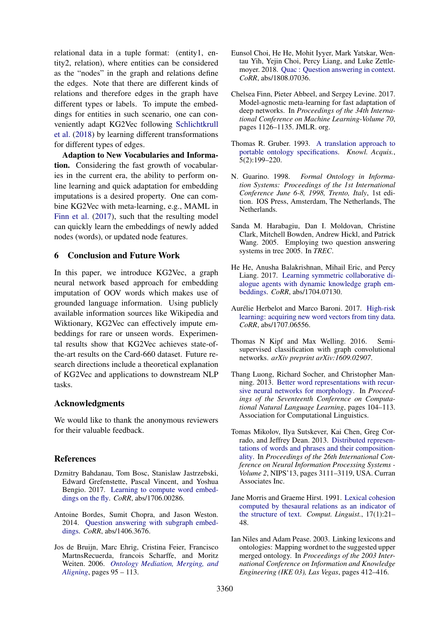relational data in a tuple format: (entity1, entity2, relation), where entities can be considered as the "nodes" in the graph and relations define the edges. Note that there are different kinds of relations and therefore edges in the graph have different types or labels. To impute the embeddings for entities in such scenario, one can conveniently adapt KG2Vec following [Schlichtkrull](#page-5-12) [et al.](#page-5-12) [\(2018\)](#page-5-12) by learning different transformations for different types of edges.

Adaption to New Vocabularies and Information. Considering the fast growth of vocabularies in the current era, the ability to perform online learning and quick adaptation for embedding imputations is a desired property. One can combine KG2Vec with meta-learning, e.g., MAML in [Finn et al.](#page-4-14) [\(2017\)](#page-4-14), such that the resulting model can quickly learn the embeddings of newly added nodes (words), or updated node features.

#### 6 Conclusion and Future Work

In this paper, we introduce KG2Vec, a graph neural network based approach for embedding imputation of OOV words which makes use of grounded language information. Using publicly available information sources like Wikipedia and Wiktionary, KG2Vec can effectively impute embeddings for rare or unseen words. Experimental results show that KG2Vec achieves state-ofthe-art results on the Card-660 dataset. Future research directions include a theoretical explanation of KG2Vec and applications to downstream NLP tasks.

#### Acknowledgments

We would like to thank the anonymous reviewers for their valuable feedback.

#### References

- <span id="page-4-1"></span>Dzmitry Bahdanau, Tom Bosc, Stanislaw Jastrzebski, Edward Grefenstette, Pascal Vincent, and Yoshua Bengio. 2017. [Learning to compute word embed](http://arxiv.org/abs/1706.00286)[dings on the fly.](http://arxiv.org/abs/1706.00286) *CoRR*, abs/1706.00286.
- <span id="page-4-11"></span>Antoine Bordes, Sumit Chopra, and Jason Weston. 2014. [Question answering with subgraph embed](http://arxiv.org/abs/1406.3676)[dings.](http://arxiv.org/abs/1406.3676) *CoRR*, abs/1406.3676.
- <span id="page-4-6"></span>Jos de Bruijn, Marc Ehrig, Cristina Feier, Francisco MartnsRecuerda, francois Scharffe, and Moritz Weiten. 2006. *[Ontology Mediation, Merging, and](https://doi.org/10.1002/047003033X.ch6) [Aligning](https://doi.org/10.1002/047003033X.ch6)*, pages 95 – 113.
- <span id="page-4-10"></span>Eunsol Choi, He He, Mohit Iyyer, Mark Yatskar, Wentau Yih, Yejin Choi, Percy Liang, and Luke Zettlemoyer. 2018. [Quac : Question answering in context.](http://arxiv.org/abs/1808.07036) *CoRR*, abs/1808.07036.
- <span id="page-4-14"></span>Chelsea Finn, Pieter Abbeel, and Sergey Levine. 2017. Model-agnostic meta-learning for fast adaptation of deep networks. In *Proceedings of the 34th International Conference on Machine Learning-Volume 70*, pages 1126–1135. JMLR. org.
- <span id="page-4-4"></span>Thomas R. Gruber. 1993. [A translation approach to](https://doi.org/10.1006/knac.1993.1008) [portable ontology specifications.](https://doi.org/10.1006/knac.1993.1008) *Knowl. Acquis.*, 5(2):199–220.
- <span id="page-4-5"></span>N. Guarino. 1998. *Formal Ontology in Information Systems: Proceedings of the 1st International Conference June 6-8, 1998, Trento, Italy*, 1st edition. IOS Press, Amsterdam, The Netherlands, The Netherlands.
- <span id="page-4-7"></span>Sanda M. Harabagiu, Dan I. Moldovan, Christine Clark, Mitchell Bowden, Andrew Hickl, and Patrick Wang. 2005. Employing two question answering systems in trec 2005. In *TREC*.
- <span id="page-4-9"></span>He He, Anusha Balakrishnan, Mihail Eric, and Percy Liang. 2017. [Learning symmetric collaborative di](http://arxiv.org/abs/1704.07130)[alogue agents with dynamic knowledge graph em](http://arxiv.org/abs/1704.07130)[beddings.](http://arxiv.org/abs/1704.07130) *CoRR*, abs/1704.07130.
- <span id="page-4-2"></span>Aurélie Herbelot and Marco Baroni. 2017. [High-risk](http://arxiv.org/abs/1707.06556) [learning: acquiring new word vectors from tiny data.](http://arxiv.org/abs/1707.06556) *CoRR*, abs/1707.06556.
- <span id="page-4-12"></span>Thomas N Kipf and Max Welling. 2016. Semisupervised classification with graph convolutional networks. *arXiv preprint arXiv:1609.02907*.
- <span id="page-4-13"></span>Thang Luong, Richard Socher, and Christopher Manning. 2013. [Better word representations with recur](http://aclweb.org/anthology/W13-3512)[sive neural networks for morphology.](http://aclweb.org/anthology/W13-3512) In *Proceedings of the Seventeenth Conference on Computational Natural Language Learning*, pages 104–113. Association for Computational Linguistics.
- <span id="page-4-0"></span>Tomas Mikolov, Ilya Sutskever, Kai Chen, Greg Corrado, and Jeffrey Dean. 2013. [Distributed represen](http://dl.acm.org/citation.cfm?id=2999792.2999959)[tations of words and phrases and their composition](http://dl.acm.org/citation.cfm?id=2999792.2999959)[ality.](http://dl.acm.org/citation.cfm?id=2999792.2999959) In *Proceedings of the 26th International Conference on Neural Information Processing Systems - Volume 2*, NIPS'13, pages 3111–3119, USA. Curran Associates Inc.
- <span id="page-4-8"></span>Jane Morris and Graeme Hirst. 1991. [Lexical cohesion](http://dl.acm.org/citation.cfm?id=971738.971740) [computed by thesaural relations as an indicator of](http://dl.acm.org/citation.cfm?id=971738.971740) [the structure of text.](http://dl.acm.org/citation.cfm?id=971738.971740) *Comput. Linguist.*, 17(1):21– 48.
- <span id="page-4-3"></span>Ian Niles and Adam Pease. 2003. Linking lexicons and ontologies: Mapping wordnet to the suggested upper merged ontology. In *Proceedings of the 2003 International Conference on Information and Knowledge Engineering (IKE 03), Las Vegas*, pages 412–416.